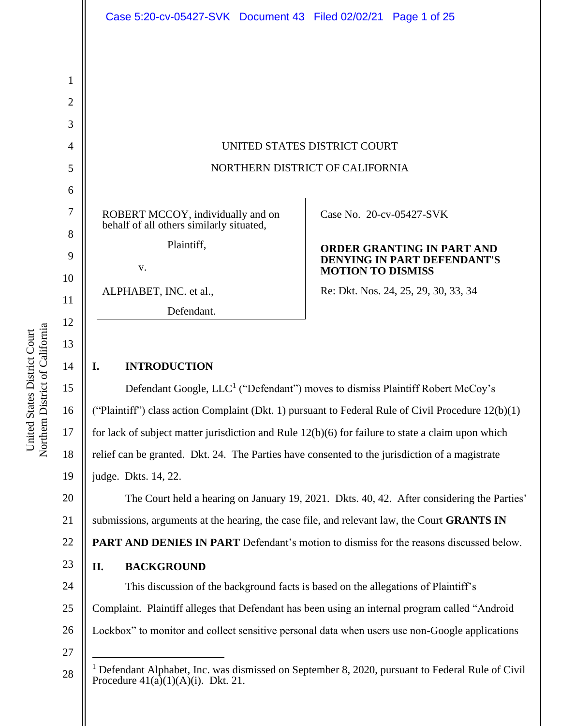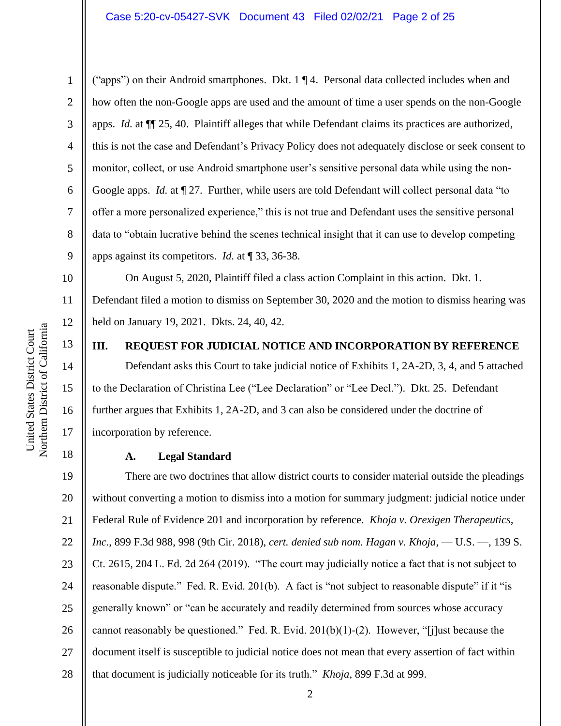("apps") on their Android smartphones. Dkt. 1 ¶ 4. Personal data collected includes when and how often the non-Google apps are used and the amount of time a user spends on the non-Google apps. *Id.* at ¶¶ 25, 40. Plaintiff alleges that while Defendant claims its practices are authorized, this is not the case and Defendant's Privacy Policy does not adequately disclose or seek consent to monitor, collect, or use Android smartphone user's sensitive personal data while using the non-Google apps. *Id.* at  $\P$  27. Further, while users are told Defendant will collect personal data "to offer a more personalized experience," this is not true and Defendant uses the sensitive personal data to "obtain lucrative behind the scenes technical insight that it can use to develop competing apps against its competitors. *Id.* at ¶ 33, 36-38.

10 11 12 On August 5, 2020, Plaintiff filed a class action Complaint in this action. Dkt. 1. Defendant filed a motion to dismiss on September 30, 2020 and the motion to dismiss hearing was held on January 19, 2021. Dkts. 24, 40, 42.

13

14

15

16

17

18

1

2

3

4

5

6

7

8

9

# **III. REQUEST FOR JUDICIAL NOTICE AND INCORPORATION BY REFERENCE**

Defendant asks this Court to take judicial notice of Exhibits 1, 2A-2D, 3, 4, and 5 attached to the Declaration of Christina Lee ("Lee Declaration" or "Lee Decl."). Dkt. 25. Defendant further argues that Exhibits 1, 2A-2D, and 3 can also be considered under the doctrine of incorporation by reference.

#### **A. Legal Standard**

19 20 21 22 23 24 25 26 27 28 There are two doctrines that allow district courts to consider material outside the pleadings without converting a motion to dismiss into a motion for summary judgment: judicial notice under Federal Rule of Evidence 201 and incorporation by reference. *Khoja v. Orexigen Therapeutics, Inc.*, 899 F.3d 988, 998 (9th Cir. 2018), *cert. denied sub nom. Hagan v. Khoja*, — U.S. —, 139 S. Ct. 2615, 204 L. Ed. 2d 264 (2019). "The court may judicially notice a fact that is not subject to reasonable dispute." Fed. R. Evid. 201(b). A fact is "not subject to reasonable dispute" if it "is generally known" or "can be accurately and readily determined from sources whose accuracy cannot reasonably be questioned." Fed. R. Evid.  $201(b)(1)-(2)$ . However, "[j]ust because the document itself is susceptible to judicial notice does not mean that every assertion of fact within that document is judicially noticeable for its truth." *Khoja*, 899 F.3d at 999.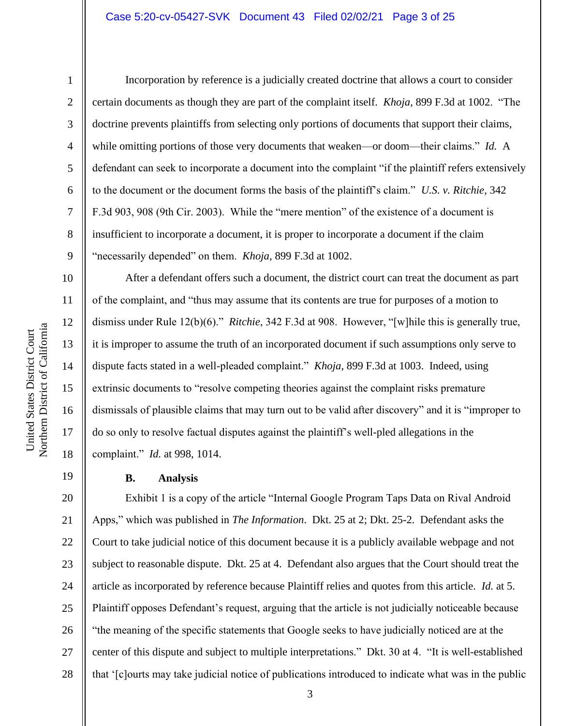#### Case 5:20-cv-05427-SVK Document 43 Filed 02/02/21 Page 3 of 25

1

2

3

4

5

6

7

8

9

10

11

12

13

14

15

16

17

18

19

Incorporation by reference is a judicially created doctrine that allows a court to consider certain documents as though they are part of the complaint itself. *Khoja*, 899 F.3d at 1002. "The doctrine prevents plaintiffs from selecting only portions of documents that support their claims, while omitting portions of those very documents that weaken—or doom—their claims." *Id.* A defendant can seek to incorporate a document into the complaint "if the plaintiff refers extensively to the document or the document forms the basis of the plaintiff's claim." *U.S. v. Ritchie*, 342 F.3d 903, 908 (9th Cir. 2003). While the "mere mention" of the existence of a document is insufficient to incorporate a document, it is proper to incorporate a document if the claim "necessarily depended" on them. *Khoja*, 899 F.3d at 1002.

After a defendant offers such a document, the district court can treat the document as part of the complaint, and "thus may assume that its contents are true for purposes of a motion to dismiss under Rule 12(b)(6)." *Ritchie*, 342 F.3d at 908. However, "[w]hile this is generally true, it is improper to assume the truth of an incorporated document if such assumptions only serve to dispute facts stated in a well-pleaded complaint." *Khoja*, 899 F.3d at 1003. Indeed, using extrinsic documents to "resolve competing theories against the complaint risks premature dismissals of plausible claims that may turn out to be valid after discovery" and it is "improper to do so only to resolve factual disputes against the plaintiff's well-pled allegations in the complaint." *Id.* at 998, 1014.

#### **B. Analysis**

20 21 22 23 24 25 26 27 28 Exhibit 1 is a copy of the article "Internal Google Program Taps Data on Rival Android Apps," which was published in *The Information*. Dkt. 25 at 2; Dkt. 25-2. Defendant asks the Court to take judicial notice of this document because it is a publicly available webpage and not subject to reasonable dispute. Dkt. 25 at 4. Defendant also argues that the Court should treat the article as incorporated by reference because Plaintiff relies and quotes from this article. *Id.* at 5. Plaintiff opposes Defendant's request, arguing that the article is not judicially noticeable because "the meaning of the specific statements that Google seeks to have judicially noticed are at the center of this dispute and subject to multiple interpretations." Dkt. 30 at 4. "It is well-established that '[c]ourts may take judicial notice of publications introduced to indicate what was in the public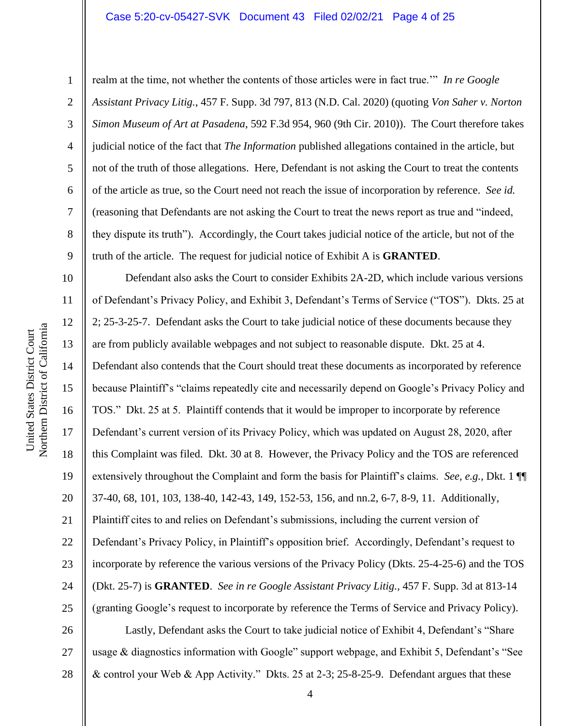#### Case 5:20-cv-05427-SVK Document 43 Filed 02/02/21 Page 4 of 25

1

2

3

4

5

6

7

8

9

realm at the time, not whether the contents of those articles were in fact true.'" *In re Google Assistant Privacy Litig.*, 457 F. Supp. 3d 797, 813 (N.D. Cal. 2020) (quoting *Von Saher v. Norton Simon Museum of Art at Pasadena*, 592 F.3d 954, 960 (9th Cir. 2010)). The Court therefore takes judicial notice of the fact that *The Information* published allegations contained in the article, but not of the truth of those allegations. Here, Defendant is not asking the Court to treat the contents of the article as true, so the Court need not reach the issue of incorporation by reference. *See id.*  (reasoning that Defendants are not asking the Court to treat the news report as true and "indeed, they dispute its truth"). Accordingly, the Court takes judicial notice of the article, but not of the truth of the article. The request for judicial notice of Exhibit A is **GRANTED**.

10 11 12 13 14 15 16 17 18 19 20 21 22 23 24 25 26 Defendant also asks the Court to consider Exhibits 2A-2D, which include various versions of Defendant's Privacy Policy, and Exhibit 3, Defendant's Terms of Service ("TOS"). Dkts. 25 at 2; 25-3-25-7. Defendant asks the Court to take judicial notice of these documents because they are from publicly available webpages and not subject to reasonable dispute. Dkt. 25 at 4. Defendant also contends that the Court should treat these documents as incorporated by reference because Plaintiff's "claims repeatedly cite and necessarily depend on Google's Privacy Policy and TOS." Dkt. 25 at 5. Plaintiff contends that it would be improper to incorporate by reference Defendant's current version of its Privacy Policy, which was updated on August 28, 2020, after this Complaint was filed. Dkt. 30 at 8. However, the Privacy Policy and the TOS are referenced extensively throughout the Complaint and form the basis for Plaintiff's claims. *See, e.g.*, Dkt. 1 ¶¶ 37-40, 68, 101, 103, 138-40, 142-43, 149, 152-53, 156, and nn.2, 6-7, 8-9, 11. Additionally, Plaintiff cites to and relies on Defendant's submissions, including the current version of Defendant's Privacy Policy, in Plaintiff's opposition brief. Accordingly, Defendant's request to incorporate by reference the various versions of the Privacy Policy (Dkts. 25-4-25-6) and the TOS (Dkt. 25-7) is **GRANTED**. *See in re Google Assistant Privacy Litig.*, 457 F. Supp. 3d at 813-14 (granting Google's request to incorporate by reference the Terms of Service and Privacy Policy). Lastly, Defendant asks the Court to take judicial notice of Exhibit 4, Defendant's "Share

27 28 usage & diagnostics information with Google" support webpage, and Exhibit 5, Defendant's "See & control your Web & App Activity." Dkts. 25 at 2-3; 25-8-25-9. Defendant argues that these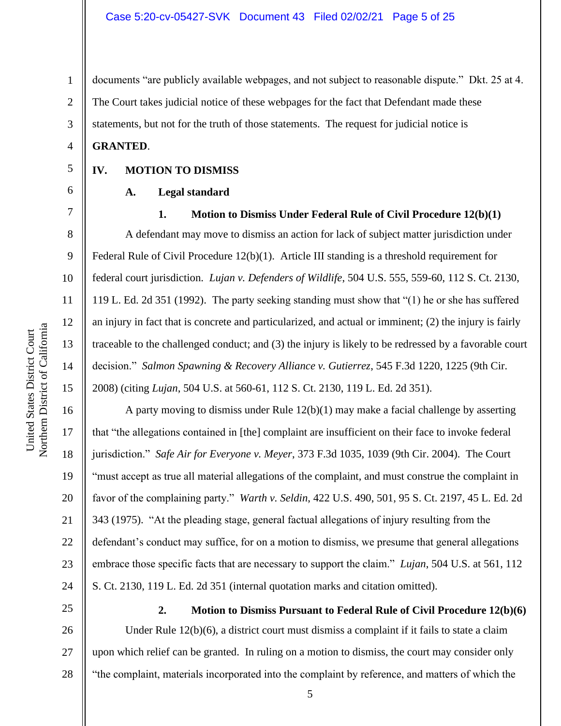documents "are publicly available webpages, and not subject to reasonable dispute." Dkt. 25 at 4. The Court takes judicial notice of these webpages for the fact that Defendant made these statements, but not for the truth of those statements. The request for judicial notice is

## **GRANTED**.

## **IV. MOTION TO DISMISS**

# **A. Legal standard**

7

8

9

10

11

12

13

14

15

16

17

18

19

20

21

22

23

24

1

2

3

4

5

6

## **1. Motion to Dismiss Under Federal Rule of Civil Procedure 12(b)(1)**

A defendant may move to dismiss an action for lack of subject matter jurisdiction under Federal Rule of Civil Procedure 12(b)(1). Article III standing is a threshold requirement for federal court jurisdiction. *Lujan v. Defenders of Wildlife*, 504 U.S. 555, 559-60, 112 S. Ct. 2130, 119 L. Ed. 2d 351 (1992). The party seeking standing must show that "(1) he or she has suffered an injury in fact that is concrete and particularized, and actual or imminent; (2) the injury is fairly traceable to the challenged conduct; and (3) the injury is likely to be redressed by a favorable court decision." *Salmon Spawning & Recovery Alliance v. Gutierrez*, 545 F.3d 1220, 1225 (9th Cir. 2008) (citing *Lujan*, 504 U.S. at 560-61, 112 S. Ct. 2130, 119 L. Ed. 2d 351).

A party moving to dismiss under Rule 12(b)(1) may make a facial challenge by asserting that "the allegations contained in [the] complaint are insufficient on their face to invoke federal jurisdiction." *Safe Air for Everyone v. Meyer*, 373 F.3d 1035, 1039 (9th Cir. 2004). The Court "must accept as true all material allegations of the complaint, and must construe the complaint in favor of the complaining party." *Warth v. Seldin*, 422 U.S. 490, 501, 95 S. Ct. 2197, 45 L. Ed. 2d 343 (1975). "At the pleading stage, general factual allegations of injury resulting from the defendant's conduct may suffice, for on a motion to dismiss, we presume that general allegations embrace those specific facts that are necessary to support the claim." *Lujan*, 504 U.S. at 561, 112 S. Ct. 2130, 119 L. Ed. 2d 351 (internal quotation marks and citation omitted).

25

26

27

28

**2. Motion to Dismiss Pursuant to Federal Rule of Civil Procedure 12(b)(6)** Under Rule 12(b)(6), a district court must dismiss a complaint if it fails to state a claim upon which relief can be granted. In ruling on a motion to dismiss, the court may consider only "the complaint, materials incorporated into the complaint by reference, and matters of which the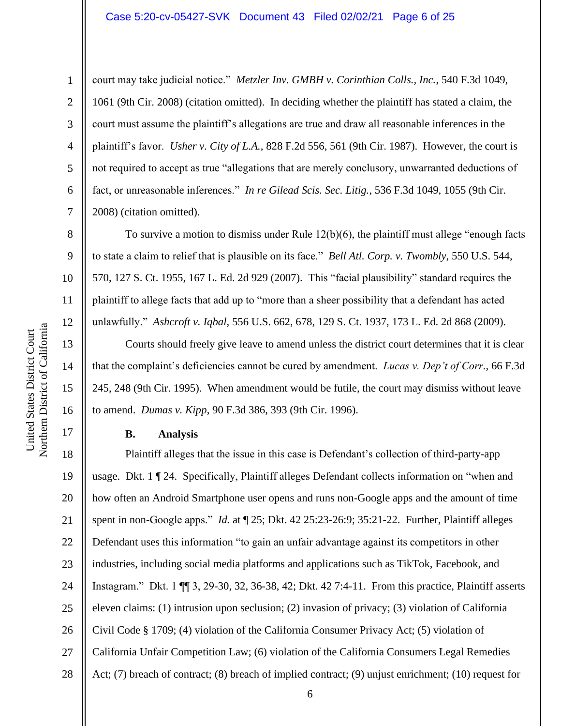#### Case 5:20-cv-05427-SVK Document 43 Filed 02/02/21 Page 6 of 25

1

2

3

4

5

6

7

8

9

10

11

12

13

14

15

16

17

court may take judicial notice." *Metzler Inv. GMBH v. Corinthian Colls., Inc.*, 540 F.3d 1049, 1061 (9th Cir. 2008) (citation omitted). In deciding whether the plaintiff has stated a claim, the court must assume the plaintiff's allegations are true and draw all reasonable inferences in the plaintiff's favor. *Usher v. City of L.A.*, 828 F.2d 556, 561 (9th Cir. 1987). However, the court is not required to accept as true "allegations that are merely conclusory, unwarranted deductions of fact, or unreasonable inferences." *In re Gilead Scis. Sec. Litig.*, 536 F.3d 1049, 1055 (9th Cir. 2008) (citation omitted).

To survive a motion to dismiss under Rule 12(b)(6), the plaintiff must allege "enough facts to state a claim to relief that is plausible on its face." *Bell Atl. Corp. v. Twombly*, 550 U.S. 544, 570, 127 S. Ct. 1955, 167 L. Ed. 2d 929 (2007). This "facial plausibility" standard requires the plaintiff to allege facts that add up to "more than a sheer possibility that a defendant has acted unlawfully." *Ashcroft v. Iqbal*, 556 U.S. 662, 678, 129 S. Ct. 1937, 173 L. Ed. 2d 868 (2009).

Courts should freely give leave to amend unless the district court determines that it is clear that the complaint's deficiencies cannot be cured by amendment. *Lucas v. Dep't of Corr.*, 66 F.3d 245, 248 (9th Cir. 1995). When amendment would be futile, the court may dismiss without leave to amend. *Dumas v. Kipp*, 90 F.3d 386, 393 (9th Cir. 1996).

# **B. Analysis**

18 19 20 21 22 23 24 25 26 27 28 Plaintiff alleges that the issue in this case is Defendant's collection of third-party-app usage. Dkt. 1 ¶ 24. Specifically, Plaintiff alleges Defendant collects information on "when and how often an Android Smartphone user opens and runs non-Google apps and the amount of time spent in non-Google apps." *Id.* at ¶ 25; Dkt. 42 25:23-26:9; 35:21-22. Further, Plaintiff alleges Defendant uses this information "to gain an unfair advantage against its competitors in other industries, including social media platforms and applications such as TikTok, Facebook, and Instagram." Dkt. 1 ¶¶ 3, 29-30, 32, 36-38, 42; Dkt. 42 7:4-11. From this practice, Plaintiff asserts eleven claims: (1) intrusion upon seclusion; (2) invasion of privacy; (3) violation of California Civil Code § 1709; (4) violation of the California Consumer Privacy Act; (5) violation of California Unfair Competition Law; (6) violation of the California Consumers Legal Remedies Act; (7) breach of contract; (8) breach of implied contract; (9) unjust enrichment; (10) request for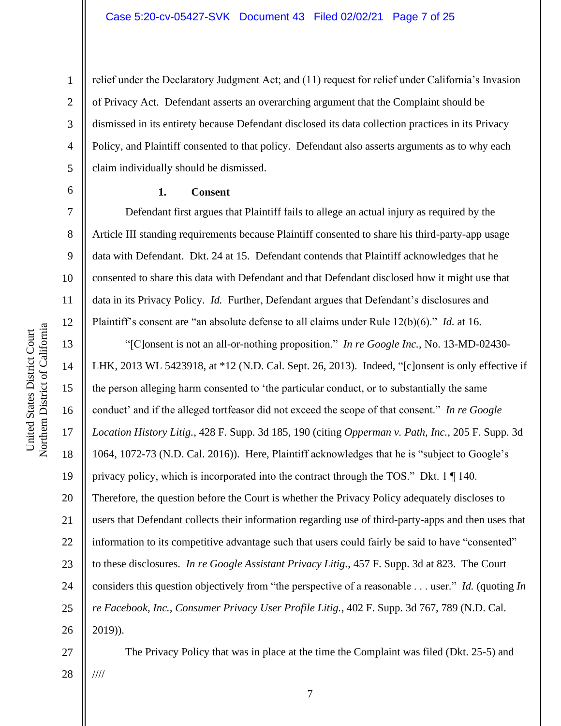relief under the Declaratory Judgment Act; and (11) request for relief under California's Invasion of Privacy Act. Defendant asserts an overarching argument that the Complaint should be dismissed in its entirety because Defendant disclosed its data collection practices in its Privacy Policy, and Plaintiff consented to that policy. Defendant also asserts arguments as to why each claim individually should be dismissed.

#### **1. Consent**

Defendant first argues that Plaintiff fails to allege an actual injury as required by the Article III standing requirements because Plaintiff consented to share his third-party-app usage data with Defendant. Dkt. 24 at 15. Defendant contends that Plaintiff acknowledges that he consented to share this data with Defendant and that Defendant disclosed how it might use that data in its Privacy Policy. *Id.* Further, Defendant argues that Defendant's disclosures and Plaintiff's consent are "an absolute defense to all claims under Rule 12(b)(6)." *Id.* at 16.

16 20 22 23 24 26 "[C]onsent is not an all-or-nothing proposition." *In re Google Inc.*, No. 13-MD-02430- LHK, 2013 WL 5423918, at \*12 (N.D. Cal. Sept. 26, 2013). Indeed, "[c]onsent is only effective if the person alleging harm consented to 'the particular conduct, or to substantially the same conduct' and if the alleged tortfeasor did not exceed the scope of that consent." *In re Google Location History Litig.*, 428 F. Supp. 3d 185, 190 (citing *Opperman v. Path, Inc.*, 205 F. Supp. 3d 1064, 1072-73 (N.D. Cal. 2016)). Here, Plaintiff acknowledges that he is "subject to Google's privacy policy, which is incorporated into the contract through the TOS." Dkt. 1 ¶ 140. Therefore, the question before the Court is whether the Privacy Policy adequately discloses to users that Defendant collects their information regarding use of third-party-apps and then uses that information to its competitive advantage such that users could fairly be said to have "consented" to these disclosures. *In re Google Assistant Privacy Litig.*, 457 F. Supp. 3d at 823. The Court considers this question objectively from "the perspective of a reasonable . . . user." *Id.* (quoting *In re Facebook, Inc., Consumer Privacy User Profile Litig.*, 402 F. Supp. 3d 767, 789 (N.D. Cal. 2019)).

The Privacy Policy that was in place at the time the Complaint was filed (Dkt. 25-5) and ////

1

2

3

4

5

6

7

8

9

10

11

12

13

14

15

17

18

19

21

25

27

28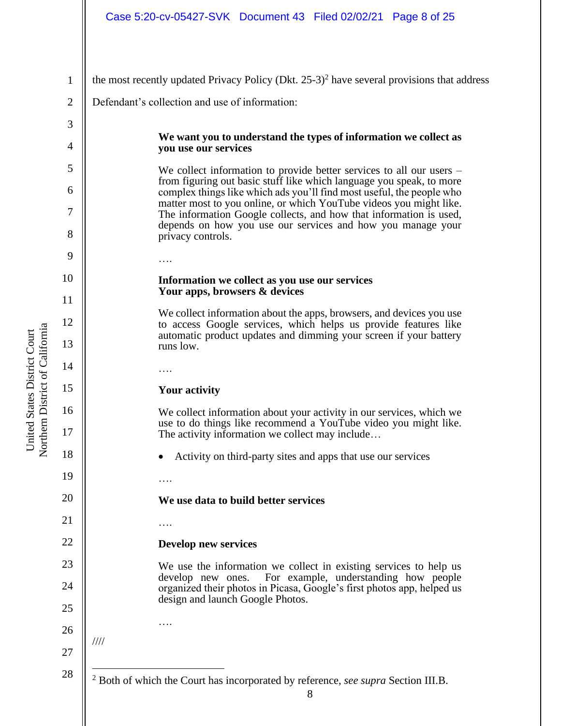| Case 5:20-cv-05427-SVK Document 43 Filed 02/02/21 Page 8 of 25 |  |  |  |
|----------------------------------------------------------------|--|--|--|
|----------------------------------------------------------------|--|--|--|

8 1 2 3 4 5 6 7 8 9 10 11 12 13 14 15 16 17 18 19 20 21 22 23 24 25 26 27 28 the most recently updated Privacy Policy (Dkt. 25-3) 2 have several provisions that address Defendant's collection and use of information: **We want you to understand the types of information we collect as you use our services** We collect information to provide better services to all our users – from figuring out basic stuff like which language you speak, to more complex things like which ads you'll find most useful, the people who matter most to you online, or which YouTube videos you might like. The information Google collects, and how that information is used, depends on how you use our services and how you manage your privacy controls. …. **Information we collect as you use our services Your apps, browsers & devices** We collect information about the apps, browsers, and devices you use to access Google services, which helps us provide features like automatic product updates and dimming your screen if your battery runs low. …. **Your activity** We collect information about your activity in our services, which we use to do things like recommend a YouTube video you might like. The activity information we collect may include… • Activity on third-party sites and apps that use our services …. **We use data to build better services**  …. **Develop new services**  We use the information we collect in existing services to help us develop new ones. For example, understanding how people organized their photos in Picasa, Google's first photos app, helped us design and launch Google Photos. …. //// <sup>2</sup> Both of which the Court has incorporated by reference, *see supra* Section III.B.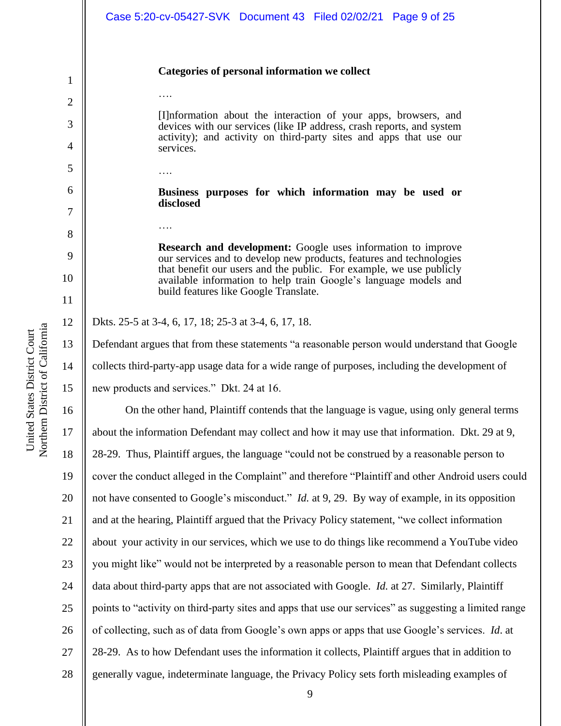|                | Case 5:20-cv-05427-SVK Document 43 Filed 02/02/21 Page 9 of 25                                                                             |  |  |  |
|----------------|--------------------------------------------------------------------------------------------------------------------------------------------|--|--|--|
| 1              | Categories of personal information we collect                                                                                              |  |  |  |
| $\overline{2}$ |                                                                                                                                            |  |  |  |
| 3              | [I] information about the interaction of your apps, browsers, and<br>devices with our services (like IP address, crash reports, and system |  |  |  |
| 4              | activity); and activity on third-party sites and apps that use our<br>services.                                                            |  |  |  |
| 5              |                                                                                                                                            |  |  |  |
| 6              | .                                                                                                                                          |  |  |  |
| 7              | Business purposes for which information may be used or<br>disclosed                                                                        |  |  |  |
| 8              |                                                                                                                                            |  |  |  |
| 9              | <b>Research and development:</b> Google uses information to improve<br>our services and to develop new products, features and technologies |  |  |  |
| 10             | that benefit our users and the public. For example, we use publicly<br>available information to help train Google's language models and    |  |  |  |
| 11             | build features like Google Translate.                                                                                                      |  |  |  |
| 12             | Dkts. 25-5 at 3-4, 6, 17, 18; 25-3 at 3-4, 6, 17, 18.                                                                                      |  |  |  |
| 13             | Defendant argues that from these statements "a reasonable person would understand that Google                                              |  |  |  |
| 14             | collects third-party-app usage data for a wide range of purposes, including the development of                                             |  |  |  |
| 15             | new products and services." Dkt. 24 at 16.                                                                                                 |  |  |  |
| 16             | On the other hand, Plaintiff contends that the language is vague, using only general terms                                                 |  |  |  |
| 17             | about the information Defendant may collect and how it may use that information. Dkt. 29 at 9,                                             |  |  |  |
| 18             | 28-29. Thus, Plaintiff argues, the language "could not be construed by a reasonable person to                                              |  |  |  |
| 19             | cover the conduct alleged in the Complaint" and therefore "Plaintiff and other Android users could                                         |  |  |  |
| 20             | not have consented to Google's misconduct." <i>Id.</i> at 9, 29. By way of example, in its opposition                                      |  |  |  |
| 21             | and at the hearing, Plaintiff argued that the Privacy Policy statement, "we collect information                                            |  |  |  |
| 22             | about your activity in our services, which we use to do things like recommend a YouTube video                                              |  |  |  |
| 23             | you might like" would not be interpreted by a reasonable person to mean that Defendant collects                                            |  |  |  |
| 24             | data about third-party apps that are not associated with Google. <i>Id.</i> at 27. Similarly, Plaintiff                                    |  |  |  |
| 25             | points to "activity on third-party sites and apps that use our services" as suggesting a limited range                                     |  |  |  |
| 26             | of collecting, such as of data from Google's own apps or apps that use Google's services. Id. at                                           |  |  |  |
| 27             | 28-29. As to how Defendant uses the information it collects, Plaintiff argues that in addition to                                          |  |  |  |
| 28             | generally vague, indeterminate language, the Privacy Policy sets forth misleading examples of                                              |  |  |  |

United States District Court<br>Northern District of California Northern District of California United States District Court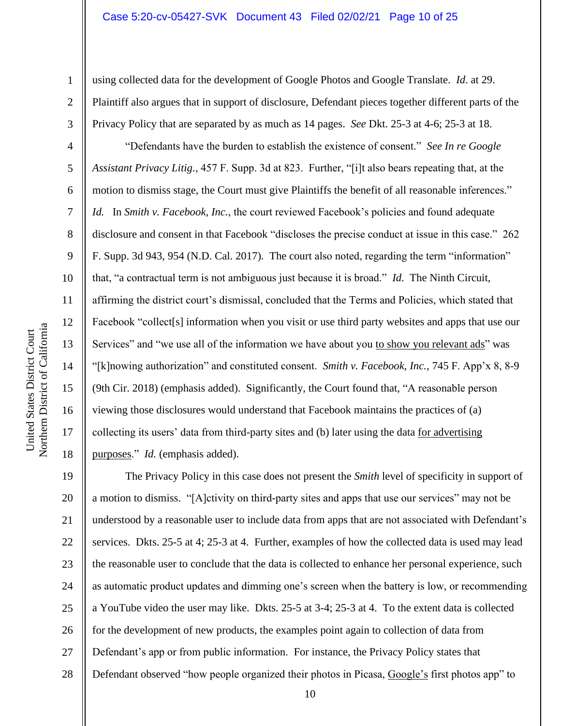using collected data for the development of Google Photos and Google Translate. *Id*. at 29. Plaintiff also argues that in support of disclosure, Defendant pieces together different parts of the Privacy Policy that are separated by as much as 14 pages. *See* Dkt. 25-3 at 4-6; 25-3 at 18.

"Defendants have the burden to establish the existence of consent." *See In re Google Assistant Privacy Litig.*, 457 F. Supp. 3d at 823. Further, "[i]t also bears repeating that, at the motion to dismiss stage, the Court must give Plaintiffs the benefit of all reasonable inferences." *Id.* In *Smith v. Facebook, Inc.*, the court reviewed Facebook's policies and found adequate disclosure and consent in that Facebook "discloses the precise conduct at issue in this case." 262 F. Supp. 3d 943, 954 (N.D. Cal. 2017). The court also noted, regarding the term "information" that, "a contractual term is not ambiguous just because it is broad." *Id*. The Ninth Circuit, affirming the district court's dismissal, concluded that the Terms and Policies, which stated that Facebook "collect[s] information when you visit or use third party websites and apps that use our Services" and "we use all of the information we have about you to show you relevant ads" was "[k]nowing authorization" and constituted consent. *Smith v. Facebook, Inc.*, 745 F. App'x 8, 8-9 (9th Cir. 2018) (emphasis added). Significantly, the Court found that, "A reasonable person viewing those disclosures would understand that Facebook maintains the practices of (a) collecting its users' data from third-party sites and (b) later using the data for advertising purposes." *Id.* (emphasis added).

19 20 21 22 23 24 25 26 27 28 The Privacy Policy in this case does not present the *Smith* level of specificity in support of a motion to dismiss. "[A]ctivity on third-party sites and apps that use our services" may not be understood by a reasonable user to include data from apps that are not associated with Defendant's services. Dkts. 25-5 at 4; 25-3 at 4. Further, examples of how the collected data is used may lead the reasonable user to conclude that the data is collected to enhance her personal experience, such as automatic product updates and dimming one's screen when the battery is low, or recommending a YouTube video the user may like. Dkts. 25-5 at 3-4; 25-3 at 4. To the extent data is collected for the development of new products, the examples point again to collection of data from Defendant's app or from public information. For instance, the Privacy Policy states that Defendant observed "how people organized their photos in Picasa, Google's first photos app" to

1

2

3

4

5

6

7

8

9

10

11

12

13

14

15

16

17

18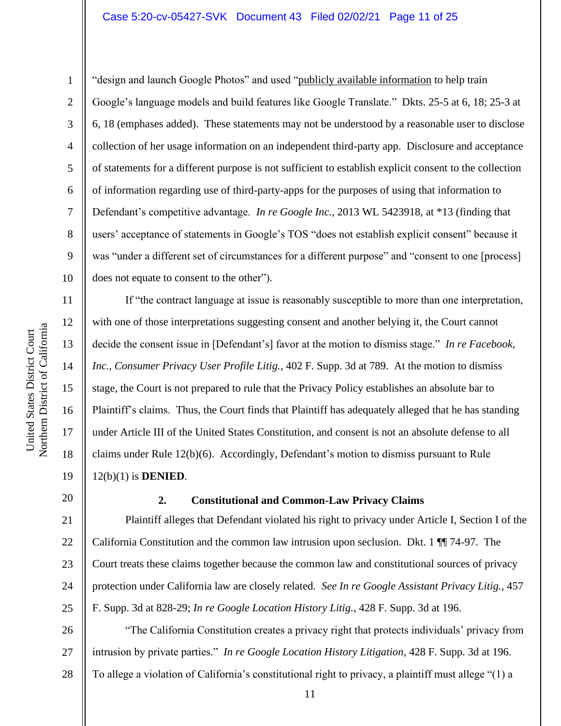## Case 5:20-cv-05427-SVK Document 43 Filed 02/02/21 Page 11 of 25

"design and launch Google Photos" and used "publicly available information to help train Google's language models and build features like Google Translate." Dkts. 25-5 at 6, 18; 25-3 at 6, 18 (emphases added). These statements may not be understood by a reasonable user to disclose collection of her usage information on an independent third-party app. Disclosure and acceptance of statements for a different purpose is not sufficient to establish explicit consent to the collection of information regarding use of third-party-apps for the purposes of using that information to Defendant's competitive advantage. *In re Google Inc.*, 2013 WL 5423918, at \*13 (finding that users' acceptance of statements in Google's TOS "does not establish explicit consent" because it was "under a different set of circumstances for a different purpose" and "consent to one [process] does not equate to consent to the other").

14 16 If "the contract language at issue is reasonably susceptible to more than one interpretation, with one of those interpretations suggesting consent and another belying it, the Court cannot decide the consent issue in [Defendant's] favor at the motion to dismiss stage." *In re Facebook, Inc., Consumer Privacy User Profile Litig.*, 402 F. Supp. 3d at 789. At the motion to dismiss stage, the Court is not prepared to rule that the Privacy Policy establishes an absolute bar to Plaintiff's claims. Thus, the Court finds that Plaintiff has adequately alleged that he has standing under Article III of the United States Constitution, and consent is not an absolute defense to all claims under Rule 12(b)(6). Accordingly, Defendant's motion to dismiss pursuant to Rule 12(b)(1) is **DENIED**.

# 20

21

22

23

24

25

1

2

3

4

5

6

7

8

9

10

11

12

13

15

17

18

19

## **2. Constitutional and Common-Law Privacy Claims**

Plaintiff alleges that Defendant violated his right to privacy under Article I, Section I of the California Constitution and the common law intrusion upon seclusion. Dkt. 1 ¶¶ 74-97. The Court treats these claims together because the common law and constitutional sources of privacy protection under California law are closely related. *See In re Google Assistant Privacy Litig.*, 457 F. Supp. 3d at 828-29; *In re Google Location History Litig.*, 428 F. Supp. 3d at 196.

26 27 28 "The California Constitution creates a privacy right that protects individuals' privacy from intrusion by private parties." *In re Google Location History Litigation*, 428 F. Supp. 3d at 196. To allege a violation of California's constitutional right to privacy, a plaintiff must allege "(1) a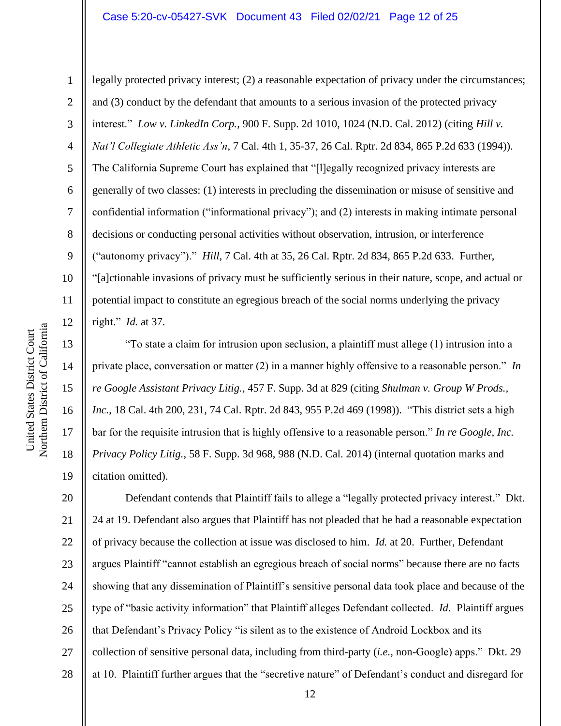legally protected privacy interest; (2) a reasonable expectation of privacy under the circumstances;

and (3) conduct by the defendant that amounts to a serious invasion of the protected privacy

3 4 5 6 7 8 9 10 11 12 13 14 interest." *Low v. LinkedIn Corp.*, 900 F. Supp. 2d 1010, 1024 (N.D. Cal. 2012) (citing *Hill v. Nat'l Collegiate Athletic Ass'n*, 7 Cal. 4th 1, 35-37, 26 Cal. Rptr. 2d 834, 865 P.2d 633 (1994)). The California Supreme Court has explained that "[l]egally recognized privacy interests are generally of two classes: (1) interests in precluding the dissemination or misuse of sensitive and confidential information ("informational privacy"); and (2) interests in making intimate personal decisions or conducting personal activities without observation, intrusion, or interference ("autonomy privacy")." *Hill*, 7 Cal. 4th at 35, 26 Cal. Rptr. 2d 834, 865 P.2d 633. Further, "[a]ctionable invasions of privacy must be sufficiently serious in their nature, scope, and actual or potential impact to constitute an egregious breach of the social norms underlying the privacy right." *Id.* at 37.

"To state a claim for intrusion upon seclusion, a plaintiff must allege (1) intrusion into a private place, conversation or matter (2) in a manner highly offensive to a reasonable person." *In re Google Assistant Privacy Litig.*, 457 F. Supp. 3d at 829 (citing *Shulman v. Group W Prods., Inc.*, 18 Cal. 4th 200, 231, 74 Cal. Rptr. 2d 843, 955 P.2d 469 (1998)). "This district sets a high bar for the requisite intrusion that is highly offensive to a reasonable person." *In re Google, Inc. Privacy Policy Litig.*, 58 F. Supp. 3d 968, 988 (N.D. Cal. 2014) (internal quotation marks and citation omitted).

20 21 22 23 24 25 26 27 28 Defendant contends that Plaintiff fails to allege a "legally protected privacy interest." Dkt. 24 at 19. Defendant also argues that Plaintiff has not pleaded that he had a reasonable expectation of privacy because the collection at issue was disclosed to him. *Id.* at 20. Further, Defendant argues Plaintiff "cannot establish an egregious breach of social norms" because there are no facts showing that any dissemination of Plaintiff's sensitive personal data took place and because of the type of "basic activity information" that Plaintiff alleges Defendant collected. *Id.* Plaintiff argues that Defendant's Privacy Policy "is silent as to the existence of Android Lockbox and its collection of sensitive personal data, including from third-party (*i.e.*, non-Google) apps." Dkt. 29 at 10. Plaintiff further argues that the "secretive nature" of Defendant's conduct and disregard for

15

16

17

18

19

1

2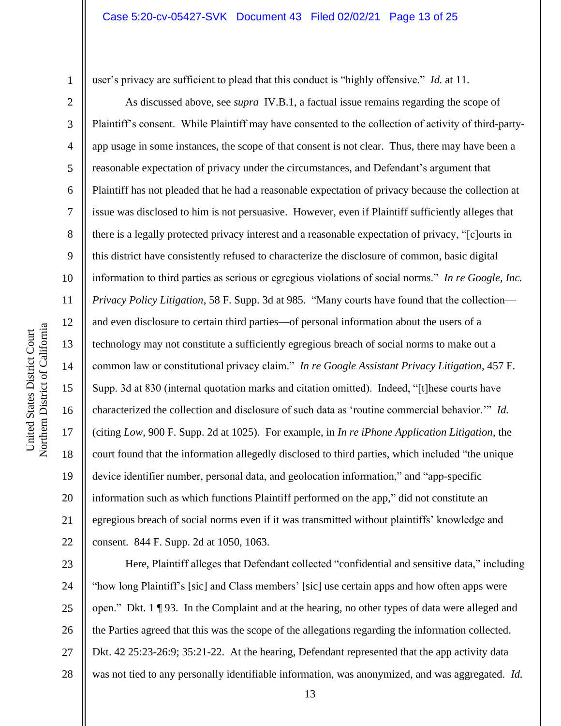1

2

3

4

5

6

7

8

9

10

11

12

13

14

15

16

17

18

19

20

21

22

user's privacy are sufficient to plead that this conduct is "highly offensive." *Id.* at 11.

As discussed above, see *supra* IV.B.1, a factual issue remains regarding the scope of Plaintiff's consent. While Plaintiff may have consented to the collection of activity of third-partyapp usage in some instances, the scope of that consent is not clear. Thus, there may have been a reasonable expectation of privacy under the circumstances, and Defendant's argument that Plaintiff has not pleaded that he had a reasonable expectation of privacy because the collection at issue was disclosed to him is not persuasive. However, even if Plaintiff sufficiently alleges that there is a legally protected privacy interest and a reasonable expectation of privacy, "[c]ourts in this district have consistently refused to characterize the disclosure of common, basic digital information to third parties as serious or egregious violations of social norms." *In re Google, Inc. Privacy Policy Litigation*, 58 F. Supp. 3d at 985. "Many courts have found that the collection and even disclosure to certain third parties—of personal information about the users of a technology may not constitute a sufficiently egregious breach of social norms to make out a common law or constitutional privacy claim." *In re Google Assistant Privacy Litigation*, 457 F. Supp. 3d at 830 (internal quotation marks and citation omitted). Indeed, "[t]hese courts have characterized the collection and disclosure of such data as 'routine commercial behavior.'" *Id.*  (citing *Low*, 900 F. Supp. 2d at 1025). For example, in *In re iPhone Application Litigation*, the court found that the information allegedly disclosed to third parties, which included "the unique device identifier number, personal data, and geolocation information," and "app-specific information such as which functions Plaintiff performed on the app," did not constitute an egregious breach of social norms even if it was transmitted without plaintiffs' knowledge and consent. 844 F. Supp. 2d at 1050, 1063.

23 24 25 26 27 28 Here, Plaintiff alleges that Defendant collected "confidential and sensitive data," including "how long Plaintiff's [sic] and Class members' [sic] use certain apps and how often apps were open." Dkt. 1 ¶ 93. In the Complaint and at the hearing, no other types of data were alleged and the Parties agreed that this was the scope of the allegations regarding the information collected. Dkt. 42 25:23-26:9; 35:21-22. At the hearing, Defendant represented that the app activity data was not tied to any personally identifiable information, was anonymized, and was aggregated. *Id.*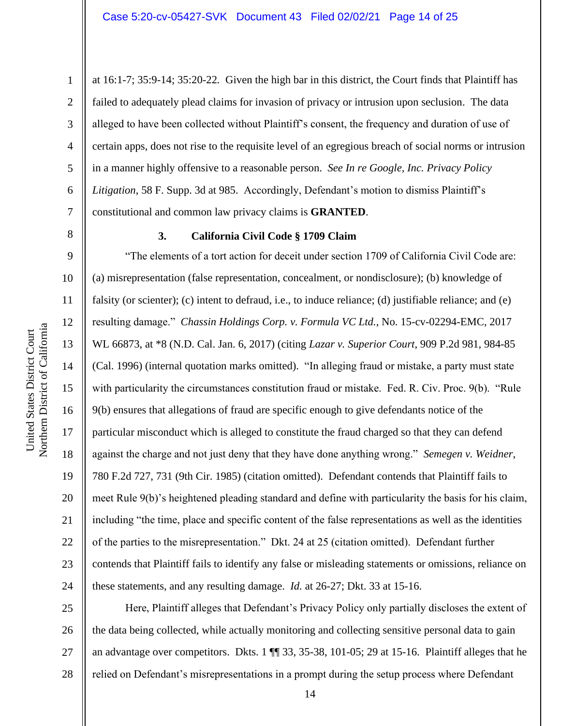at 16:1-7; 35:9-14; 35:20-22*.* Given the high bar in this district, the Court finds that Plaintiff has failed to adequately plead claims for invasion of privacy or intrusion upon seclusion. The data alleged to have been collected without Plaintiff's consent, the frequency and duration of use of certain apps, does not rise to the requisite level of an egregious breach of social norms or intrusion in a manner highly offensive to a reasonable person. *See In re Google, Inc. Privacy Policy Litigation*, 58 F. Supp. 3d at 985. Accordingly, Defendant's motion to dismiss Plaintiff's constitutional and common law privacy claims is **GRANTED**.

8

1

2

3

4

5

6

7

9

10

11

12

13

14

15

United States District Court

United States District Court

16

17

18

19

20

21

22

23

24

#### **3. California Civil Code § 1709 Claim**

"The elements of a tort action for deceit under section 1709 of California Civil Code are: (a) misrepresentation (false representation, concealment, or nondisclosure); (b) knowledge of falsity (or scienter); (c) intent to defraud, i.e., to induce reliance; (d) justifiable reliance; and (e) resulting damage." *Chassin Holdings Corp. v. Formula VC Ltd.*, No. 15-cv-02294-EMC, 2017 WL 66873, at \*8 (N.D. Cal. Jan. 6, 2017) (citing *Lazar v. Superior Court*, 909 P.2d 981, 984-85 (Cal. 1996) (internal quotation marks omitted). "In alleging fraud or mistake, a party must state with particularity the circumstances constitution fraud or mistake. Fed. R. Civ. Proc. 9(b). "Rule 9(b) ensures that allegations of fraud are specific enough to give defendants notice of the particular misconduct which is alleged to constitute the fraud charged so that they can defend against the charge and not just deny that they have done anything wrong." *Semegen v. Weidner*, 780 F.2d 727, 731 (9th Cir. 1985) (citation omitted). Defendant contends that Plaintiff fails to meet Rule 9(b)'s heightened pleading standard and define with particularity the basis for his claim, including "the time, place and specific content of the false representations as well as the identities of the parties to the misrepresentation." Dkt. 24 at 25 (citation omitted). Defendant further contends that Plaintiff fails to identify any false or misleading statements or omissions, reliance on these statements, and any resulting damage. *Id.* at 26-27; Dkt. 33 at 15-16.

25 26 27 28 Here, Plaintiff alleges that Defendant's Privacy Policy only partially discloses the extent of the data being collected, while actually monitoring and collecting sensitive personal data to gain an advantage over competitors. Dkts. 1 ¶¶ 33, 35-38, 101-05; 29 at 15-16. Plaintiff alleges that he relied on Defendant's misrepresentations in a prompt during the setup process where Defendant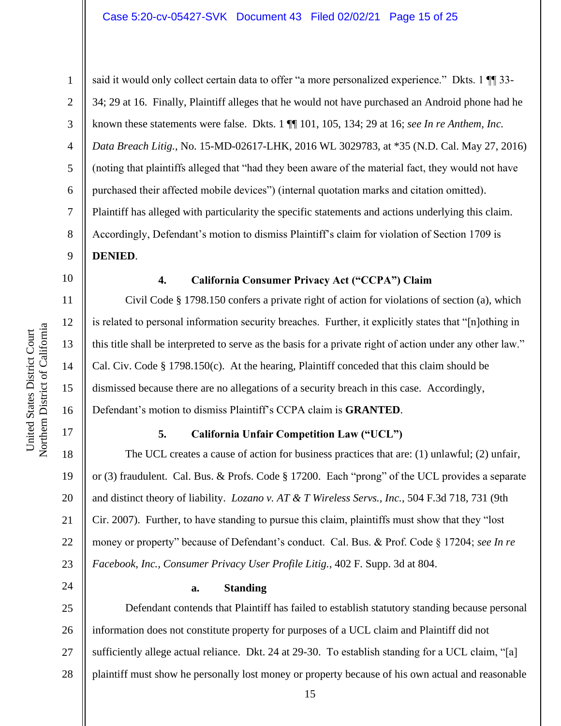Northern District of California Northern District of California United States District Court United States District Court

1 2 3 4 5 6 7 8 9 said it would only collect certain data to offer "a more personalized experience." Dkts. 1  $\P$  33-34; 29 at 16. Finally, Plaintiff alleges that he would not have purchased an Android phone had he known these statements were false. Dkts. 1 ¶¶ 101, 105, 134; 29 at 16; *see In re Anthem, Inc. Data Breach Litig.*, No. 15-MD-02617-LHK, 2016 WL 3029783, at \*35 (N.D. Cal. May 27, 2016) (noting that plaintiffs alleged that "had they been aware of the material fact, they would not have purchased their affected mobile devices") (internal quotation marks and citation omitted). Plaintiff has alleged with particularity the specific statements and actions underlying this claim. Accordingly, Defendant's motion to dismiss Plaintiff's claim for violation of Section 1709 is **DENIED**.

10

11

12

13

14

15

16

17

## **4. California Consumer Privacy Act ("CCPA") Claim**

Civil Code § 1798.150 confers a private right of action for violations of section (a), which is related to personal information security breaches. Further, it explicitly states that "[n]othing in this title shall be interpreted to serve as the basis for a private right of action under any other law." Cal. Civ. Code § 1798.150(c). At the hearing, Plaintiff conceded that this claim should be dismissed because there are no allegations of a security breach in this case. Accordingly, Defendant's motion to dismiss Plaintiff's CCPA claim is **GRANTED**.

## **5. California Unfair Competition Law ("UCL")**

18 19 20 21 22 23 The UCL creates a cause of action for business practices that are: (1) unlawful; (2) unfair, or (3) fraudulent. Cal. Bus. & Profs. Code § 17200. Each "prong" of the UCL provides a separate and distinct theory of liability. *Lozano v. AT & T Wireless Servs., Inc.*, 504 F.3d 718, 731 (9th Cir. 2007). Further, to have standing to pursue this claim, plaintiffs must show that they "lost money or property" because of Defendant's conduct. Cal. Bus. & Prof. Code § 17204; *see In re Facebook, Inc., Consumer Privacy User Profile Litig.*, 402 F. Supp. 3d at 804.

24

## **a. Standing**

25 26 27 28 Defendant contends that Plaintiff has failed to establish statutory standing because personal information does not constitute property for purposes of a UCL claim and Plaintiff did not sufficiently allege actual reliance. Dkt. 24 at 29-30. To establish standing for a UCL claim, "[a] plaintiff must show he personally lost money or property because of his own actual and reasonable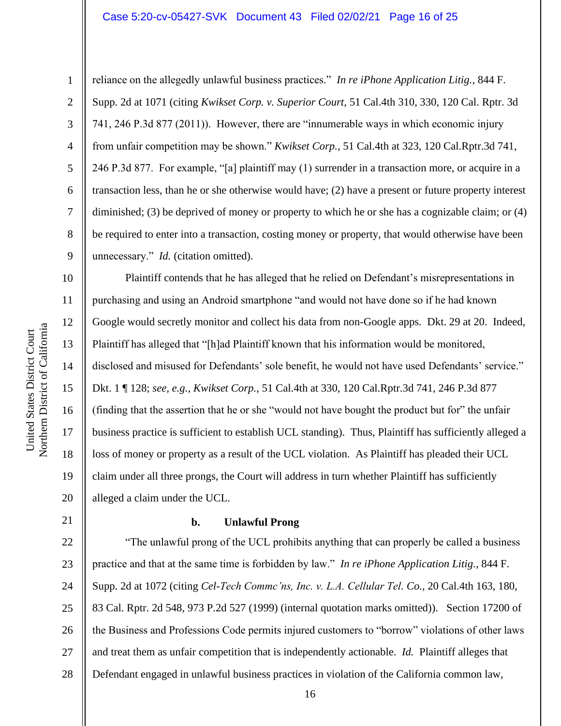#### Case 5:20-cv-05427-SVK Document 43 Filed 02/02/21 Page 16 of 25

1

2

3

4

5

6

7

8

9

10

11

12

13

14

15

16

17

18

19

20

reliance on the allegedly unlawful business practices." *In re iPhone Application Litig.*, 844 F. Supp. 2d at 1071 (citing *Kwikset Corp. v. Superior Court*, 51 Cal.4th 310, 330, 120 Cal. Rptr. 3d 741, 246 P.3d 877 (2011)). However, there are "innumerable ways in which economic injury from unfair competition may be shown." *Kwikset Corp.*, 51 Cal.4th at 323, 120 Cal.Rptr.3d 741, 246 P.3d 877. For example, "[a] plaintiff may (1) surrender in a transaction more, or acquire in a transaction less, than he or she otherwise would have; (2) have a present or future property interest diminished; (3) be deprived of money or property to which he or she has a cognizable claim; or (4) be required to enter into a transaction, costing money or property, that would otherwise have been unnecessary." *Id.* (citation omitted).

Plaintiff contends that he has alleged that he relied on Defendant's misrepresentations in purchasing and using an Android smartphone "and would not have done so if he had known Google would secretly monitor and collect his data from non-Google apps. Dkt. 29 at 20. Indeed, Plaintiff has alleged that "[h]ad Plaintiff known that his information would be monitored, disclosed and misused for Defendants' sole benefit, he would not have used Defendants' service." Dkt. 1 ¶ 128; *see, e.g.*, *Kwikset Corp.*, 51 Cal.4th at 330, 120 Cal.Rptr.3d 741, 246 P.3d 877 (finding that the assertion that he or she "would not have bought the product but for" the unfair business practice is sufficient to establish UCL standing). Thus, Plaintiff has sufficiently alleged a loss of money or property as a result of the UCL violation. As Plaintiff has pleaded their UCL claim under all three prongs, the Court will address in turn whether Plaintiff has sufficiently alleged a claim under the UCL.

21

#### **b. Unlawful Prong**

22 23 24 25 26 27 28 "The unlawful prong of the UCL prohibits anything that can properly be called a business practice and that at the same time is forbidden by law." *In re iPhone Application Litig.*, 844 F. Supp. 2d at 1072 (citing *Cel-Tech Commc'ns, Inc. v. L.A. Cellular Tel. Co.*, 20 Cal.4th 163, 180, 83 Cal. Rptr. 2d 548, 973 P.2d 527 (1999) (internal quotation marks omitted)). Section 17200 of the Business and Professions Code permits injured customers to "borrow" violations of other laws and treat them as unfair competition that is independently actionable. *Id.* Plaintiff alleges that Defendant engaged in unlawful business practices in violation of the California common law,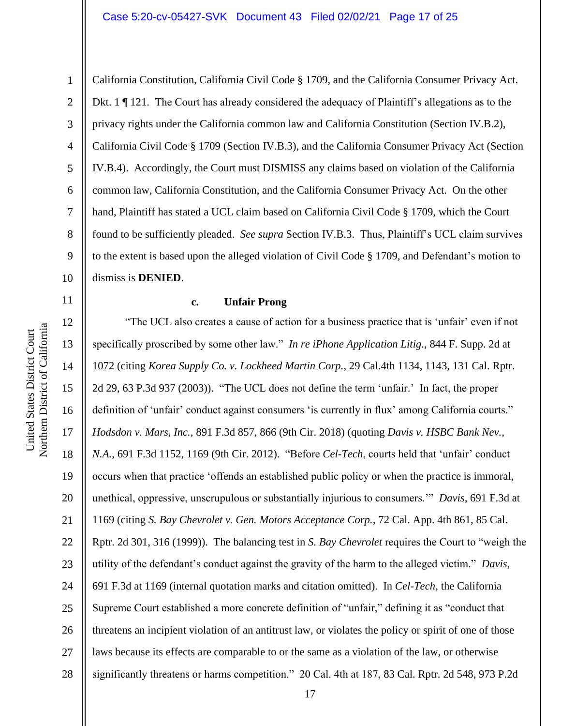11

1 2 3 4 5 6 7 8 9 10 California Constitution, California Civil Code § 1709, and the California Consumer Privacy Act. Dkt. 1 ¶ 121. The Court has already considered the adequacy of Plaintiff's allegations as to the privacy rights under the California common law and California Constitution (Section IV.B.2), California Civil Code § 1709 (Section IV.B.3), and the California Consumer Privacy Act (Section IV.B.4). Accordingly, the Court must DISMISS any claims based on violation of the California common law, California Constitution, and the California Consumer Privacy Act. On the other hand, Plaintiff has stated a UCL claim based on California Civil Code § 1709, which the Court found to be sufficiently pleaded. *See supra* Section IV.B.3. Thus, Plaintiff's UCL claim survives to the extent is based upon the alleged violation of Civil Code § 1709, and Defendant's motion to dismiss is **DENIED**.

#### **c. Unfair Prong**

12 13 14 15 16 17 18 19 20 21 22 23 24 25 26 27 28 "The UCL also creates a cause of action for a business practice that is 'unfair' even if not specifically proscribed by some other law." *In re iPhone Application Litig.*, 844 F. Supp. 2d at 1072 (citing *Korea Supply Co. v. Lockheed Martin Corp.*, 29 Cal.4th 1134, 1143, 131 Cal. Rptr. 2d 29, 63 P.3d 937 (2003)). "The UCL does not define the term 'unfair.' In fact, the proper definition of 'unfair' conduct against consumers 'is currently in flux' among California courts." *Hodsdon v. Mars, Inc.*, 891 F.3d 857, 866 (9th Cir. 2018) (quoting *Davis v. HSBC Bank Nev., N.A.*, 691 F.3d 1152, 1169 (9th Cir. 2012). "Before *Cel-Tech*, courts held that 'unfair' conduct occurs when that practice 'offends an established public policy or when the practice is immoral, unethical, oppressive, unscrupulous or substantially injurious to consumers.'" *Davis*, 691 F.3d at 1169 (citing *S. Bay Chevrolet v. Gen. Motors Acceptance Corp.*, 72 Cal. App. 4th 861, 85 Cal. Rptr. 2d 301, 316 (1999)). The balancing test in *S. Bay Chevrolet* requires the Court to "weigh the utility of the defendant's conduct against the gravity of the harm to the alleged victim." *Davis*, 691 F.3d at 1169 (internal quotation marks and citation omitted). In *Cel-Tech*, the California Supreme Court established a more concrete definition of "unfair," defining it as "conduct that threatens an incipient violation of an antitrust law, or violates the policy or spirit of one of those laws because its effects are comparable to or the same as a violation of the law, or otherwise significantly threatens or harms competition." 20 Cal. 4th at 187, 83 Cal. Rptr. 2d 548, 973 P.2d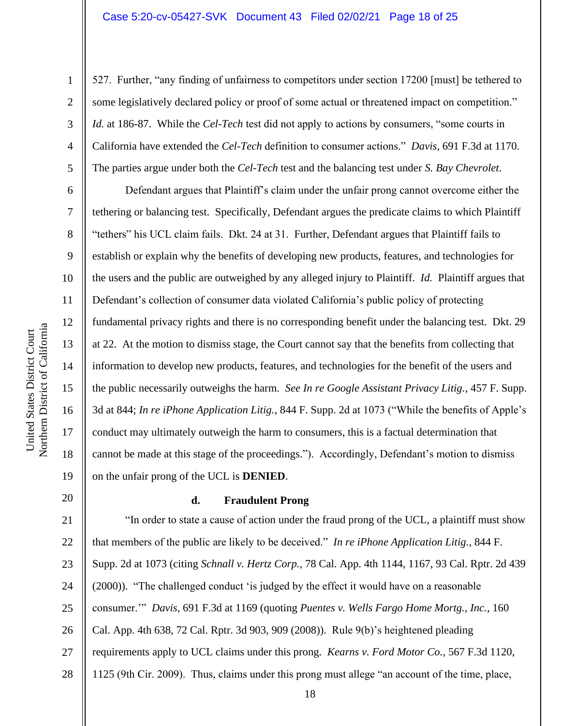527. Further, "any finding of unfairness to competitors under section 17200 [must] be tethered to some legislatively declared policy or proof of some actual or threatened impact on competition." *Id.* at 186-87. While the *Cel-Tech* test did not apply to actions by consumers, "some courts in California have extended the *Cel-Tech* definition to consumer actions." *Davis*, 691 F.3d at 1170. The parties argue under both the *Cel-Tech* test and the balancing test under *S. Bay Chevrolet*.

Defendant argues that Plaintiff's claim under the unfair prong cannot overcome either the tethering or balancing test. Specifically, Defendant argues the predicate claims to which Plaintiff "tethers" his UCL claim fails. Dkt. 24 at 31. Further, Defendant argues that Plaintiff fails to establish or explain why the benefits of developing new products, features, and technologies for the users and the public are outweighed by any alleged injury to Plaintiff. *Id.* Plaintiff argues that Defendant's collection of consumer data violated California's public policy of protecting fundamental privacy rights and there is no corresponding benefit under the balancing test. Dkt. 29 at 22. At the motion to dismiss stage, the Court cannot say that the benefits from collecting that information to develop new products, features, and technologies for the benefit of the users and the public necessarily outweighs the harm. *See In re Google Assistant Privacy Litig.*, 457 F. Supp. 3d at 844; *In re iPhone Application Litig.*, 844 F. Supp. 2d at 1073 ("While the benefits of Apple's conduct may ultimately outweigh the harm to consumers, this is a factual determination that cannot be made at this stage of the proceedings."). Accordingly, Defendant's motion to dismiss on the unfair prong of the UCL is **DENIED**.

20

1

2

3

4

5

6

7

8

9

10

11

12

13

14

15

16

17

18

19

## **d. Fraudulent Prong**

21 22 23 24 25 26 27 28 "In order to state a cause of action under the fraud prong of the UCL, a plaintiff must show that members of the public are likely to be deceived." *In re iPhone Application Litig.*, 844 F. Supp. 2d at 1073 (citing *Schnall v. Hertz Corp.*, 78 Cal. App. 4th 1144, 1167, 93 Cal. Rptr. 2d 439 (2000)). "The challenged conduct 'is judged by the effect it would have on a reasonable consumer.'" *Davis*, 691 F.3d at 1169 (quoting *Puentes v. Wells Fargo Home Mortg., Inc.*, 160 Cal. App. 4th 638, 72 Cal. Rptr. 3d 903, 909 (2008)).Rule 9(b)'s heightened pleading requirements apply to UCL claims under this prong. *Kearns v. Ford Motor Co.*, 567 F.3d 1120, 1125 (9th Cir. 2009). Thus, claims under this prong must allege "an account of the time, place,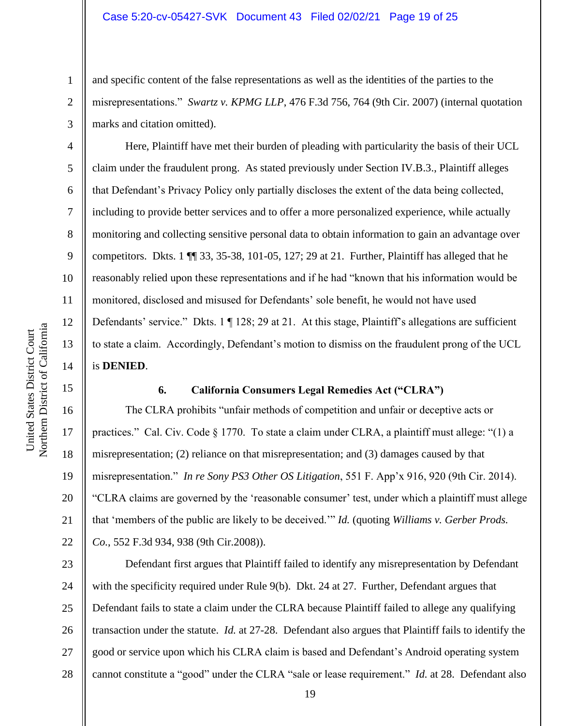and specific content of the false representations as well as the identities of the parties to the misrepresentations." *Swartz v. KPMG LLP*, 476 F.3d 756, 764 (9th Cir. 2007) (internal quotation marks and citation omitted).

Here, Plaintiff have met their burden of pleading with particularity the basis of their UCL claim under the fraudulent prong. As stated previously under Section IV.B.3., Plaintiff alleges that Defendant's Privacy Policy only partially discloses the extent of the data being collected, including to provide better services and to offer a more personalized experience, while actually monitoring and collecting sensitive personal data to obtain information to gain an advantage over competitors. Dkts. 1 ¶¶ 33, 35-38, 101-05, 127; 29 at 21. Further, Plaintiff has alleged that he reasonably relied upon these representations and if he had "known that his information would be monitored, disclosed and misused for Defendants' sole benefit, he would not have used Defendants' service." Dkts. 1 | 128; 29 at 21. At this stage, Plaintiff's allegations are sufficient to state a claim. Accordingly, Defendant's motion to dismiss on the fraudulent prong of the UCL is **DENIED**.

### **6. California Consumers Legal Remedies Act ("CLRA")**

The CLRA prohibits "unfair methods of competition and unfair or deceptive acts or practices." Cal. Civ. Code § 1770. To state a claim under CLRA, a plaintiff must allege: "(1) a misrepresentation; (2) reliance on that misrepresentation; and (3) damages caused by that misrepresentation." *In re Sony PS3 Other OS Litigation*, 551 F. App'x 916, 920 (9th Cir. 2014). "CLRA claims are governed by the 'reasonable consumer' test, under which a plaintiff must allege that 'members of the public are likely to be deceived.'" *Id.* (quoting *Williams v. Gerber Prods. Co.*, 552 F.3d 934, 938 (9th Cir.2008)).

23 24 25 26 27 28 Defendant first argues that Plaintiff failed to identify any misrepresentation by Defendant with the specificity required under Rule 9(b). Dkt. 24 at 27. Further, Defendant argues that Defendant fails to state a claim under the CLRA because Plaintiff failed to allege any qualifying transaction under the statute. *Id.* at 27-28. Defendant also argues that Plaintiff fails to identify the good or service upon which his CLRA claim is based and Defendant's Android operating system cannot constitute a "good" under the CLRA "sale or lease requirement." *Id.* at 28. Defendant also

1

2

3

4

5

6

7

8

9

10

11

12

13

14

15

16

17

18

19

20

21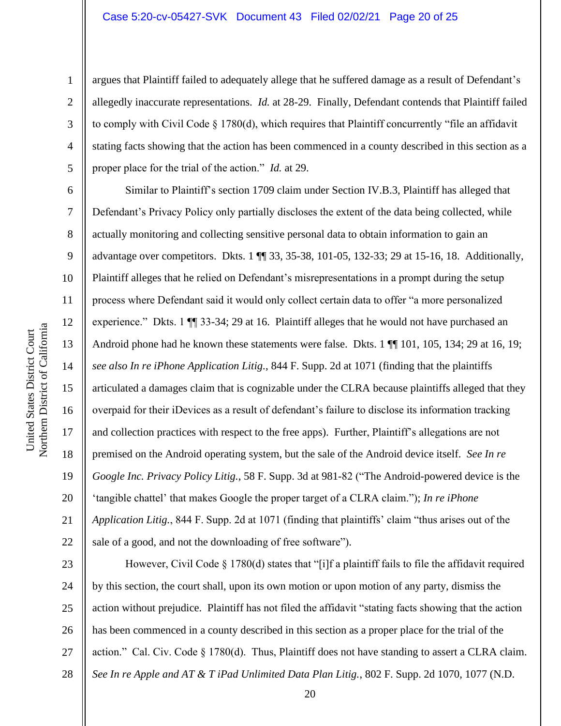#### Case 5:20-cv-05427-SVK Document 43 Filed 02/02/21 Page 20 of 25

argues that Plaintiff failed to adequately allege that he suffered damage as a result of Defendant's allegedly inaccurate representations. *Id.* at 28-29. Finally, Defendant contends that Plaintiff failed to comply with Civil Code § 1780(d), which requires that Plaintiff concurrently "file an affidavit stating facts showing that the action has been commenced in a county described in this section as a proper place for the trial of the action." *Id.* at 29.

Similar to Plaintiff's section 1709 claim under Section IV.B.3, Plaintiff has alleged that Defendant's Privacy Policy only partially discloses the extent of the data being collected, while actually monitoring and collecting sensitive personal data to obtain information to gain an advantage over competitors. Dkts. 1 ¶¶ 33, 35-38, 101-05, 132-33; 29 at 15-16, 18. Additionally, Plaintiff alleges that he relied on Defendant's misrepresentations in a prompt during the setup process where Defendant said it would only collect certain data to offer "a more personalized experience." Dkts. 1  $\P$  33-34; 29 at 16. Plaintiff alleges that he would not have purchased an Android phone had he known these statements were false. Dkts. 1  $\P$  101, 105, 134; 29 at 16, 19; *see also In re iPhone Application Litig.*, 844 F. Supp. 2d at 1071 (finding that the plaintiffs articulated a damages claim that is cognizable under the CLRA because plaintiffs alleged that they overpaid for their iDevices as a result of defendant's failure to disclose its information tracking and collection practices with respect to the free apps). Further, Plaintiff's allegations are not premised on the Android operating system, but the sale of the Android device itself. *See In re Google Inc. Privacy Policy Litig.*, 58 F. Supp. 3d at 981-82 ("The Android-powered device is the 'tangible chattel' that makes Google the proper target of a CLRA claim."); *In re iPhone Application Litig.*, 844 F. Supp. 2d at 1071 (finding that plaintiffs' claim "thus arises out of the sale of a good, and not the downloading of free software").

23 24 25 26 27 28 However, Civil Code § 1780(d) states that "[i]f a plaintiff fails to file the affidavit required by this section, the court shall, upon its own motion or upon motion of any party, dismiss the action without prejudice. Plaintiff has not filed the affidavit "stating facts showing that the action has been commenced in a county described in this section as a proper place for the trial of the action." Cal. Civ. Code § 1780(d). Thus, Plaintiff does not have standing to assert a CLRA claim. *See In re Apple and AT & T iPad Unlimited Data Plan Litig.*, 802 F. Supp. 2d 1070, 1077 (N.D.

1

2

3

4

5

6

7

8

9

10

11

12

13

14

15

16

17

18

19

20

21

22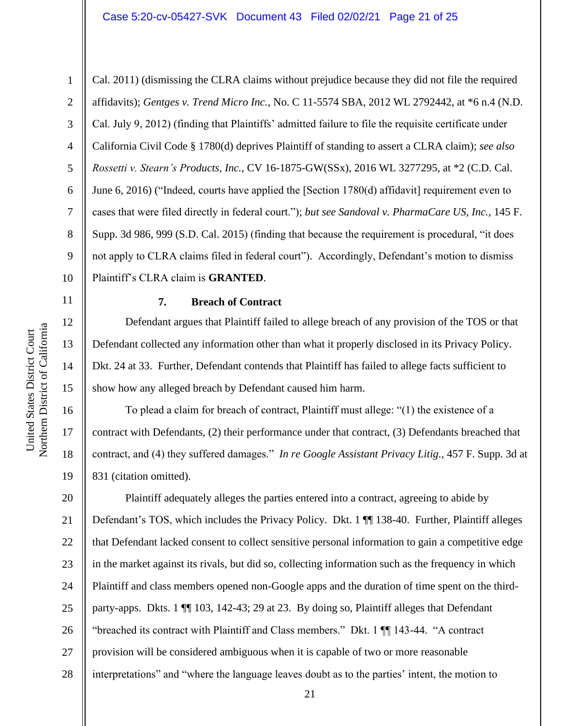#### Case 5:20-cv-05427-SVK Document 43 Filed 02/02/21 Page 21 of 25

11

12

13

14

15

16

17

18

19

1 2 3 4 5 6 7 8 9 10 Cal. 2011) (dismissing the CLRA claims without prejudice because they did not file the required affidavits); *Gentges v. Trend Micro Inc.*, No. C 11-5574 SBA, 2012 WL 2792442, at \*6 n.4 (N.D. Cal. July 9, 2012) (finding that Plaintiffs' admitted failure to file the requisite certificate under California Civil Code § 1780(d) deprives Plaintiff of standing to assert a CLRA claim); *see also Rossetti v. Stearn's Products, Inc.*, CV 16-1875-GW(SSx), 2016 WL 3277295, at \*2 (C.D. Cal. June 6, 2016) ("Indeed, courts have applied the [Section 1780(d) affidavit] requirement even to cases that were filed directly in federal court."); *but see Sandoval v. PharmaCare US, Inc.*, 145 F. Supp. 3d 986, 999 (S.D. Cal. 2015) (finding that because the requirement is procedural, "it does not apply to CLRA claims filed in federal court"). Accordingly, Defendant's motion to dismiss Plaintiff's CLRA claim is **GRANTED**.

#### **7. Breach of Contract**

Defendant argues that Plaintiff failed to allege breach of any provision of the TOS or that Defendant collected any information other than what it properly disclosed in its Privacy Policy. Dkt. 24 at 33. Further, Defendant contends that Plaintiff has failed to allege facts sufficient to show how any alleged breach by Defendant caused him harm.

To plead a claim for breach of contract, Plaintiff must allege: "(1) the existence of a contract with Defendants, (2) their performance under that contract, (3) Defendants breached that contract, and (4) they suffered damages." *In re Google Assistant Privacy Litig.*, 457 F. Supp. 3d at 831 (citation omitted).

20 21 22 23 24 25 26 27 28 Plaintiff adequately alleges the parties entered into a contract, agreeing to abide by Defendant's TOS, which includes the Privacy Policy. Dkt. 1 ¶¶ 138-40. Further, Plaintiff alleges that Defendant lacked consent to collect sensitive personal information to gain a competitive edge in the market against its rivals, but did so, collecting information such as the frequency in which Plaintiff and class members opened non-Google apps and the duration of time spent on the thirdparty-apps. Dkts. 1 ¶¶ 103, 142-43; 29 at 23. By doing so, Plaintiff alleges that Defendant "breached its contract with Plaintiff and Class members." Dkt. 1 ¶¶ 143-44. "A contract provision will be considered ambiguous when it is capable of two or more reasonable interpretations" and "where the language leaves doubt as to the parties' intent, the motion to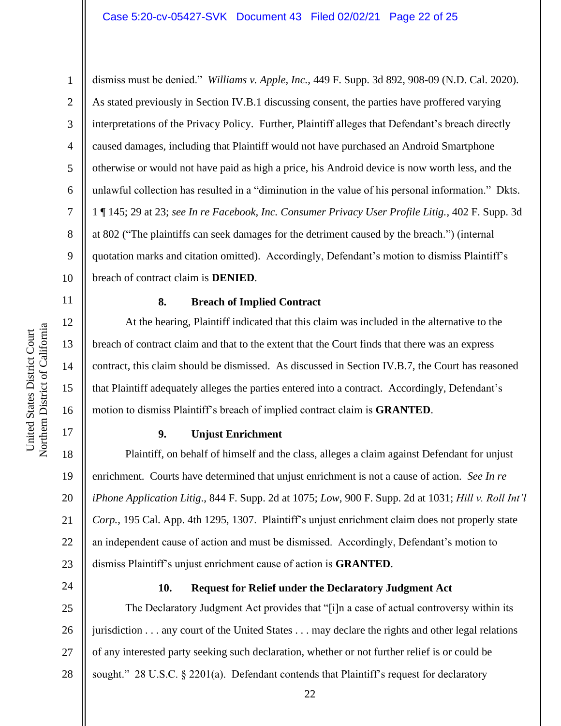dismiss must be denied." *Williams v. Apple, Inc.*, 449 F. Supp. 3d 892, 908-09 (N.D. Cal. 2020). As stated previously in Section IV.B.1 discussing consent, the parties have proffered varying interpretations of the Privacy Policy. Further, Plaintiff alleges that Defendant's breach directly caused damages, including that Plaintiff would not have purchased an Android Smartphone otherwise or would not have paid as high a price, his Android device is now worth less, and the unlawful collection has resulted in a "diminution in the value of his personal information." Dkts. 1 ¶ 145; 29 at 23; *see In re Facebook, Inc. Consumer Privacy User Profile Litig.*, 402 F. Supp. 3d at 802 ("The plaintiffs can seek damages for the detriment caused by the breach.") (internal quotation marks and citation omitted). Accordingly, Defendant's motion to dismiss Plaintiff's breach of contract claim is **DENIED**.

## **8. Breach of Implied Contract**

At the hearing, Plaintiff indicated that this claim was included in the alternative to the breach of contract claim and that to the extent that the Court finds that there was an express contract, this claim should be dismissed. As discussed in Section IV.B.7, the Court has reasoned that Plaintiff adequately alleges the parties entered into a contract. Accordingly, Defendant's motion to dismiss Plaintiff's breach of implied contract claim is **GRANTED**.

# **9. Unjust Enrichment**

18 19 20 21 22 23 Plaintiff, on behalf of himself and the class, alleges a claim against Defendant for unjust enrichment. Courts have determined that unjust enrichment is not a cause of action. *See In re iPhone Application Litig.*, 844 F. Supp. 2d at 1075; *Low*, 900 F. Supp. 2d at 1031; *Hill v. Roll Int'l Corp.*, 195 Cal. App. 4th 1295, 1307. Plaintiff's unjust enrichment claim does not properly state an independent cause of action and must be dismissed. Accordingly, Defendant's motion to dismiss Plaintiff's unjust enrichment cause of action is **GRANTED**.

24

# **10. Request for Relief under the Declaratory Judgment Act**

25 26 27 28 The Declaratory Judgment Act provides that "[i]n a case of actual controversy within its jurisdiction . . . any court of the United States . . . may declare the rights and other legal relations of any interested party seeking such declaration, whether or not further relief is or could be sought." 28 U.S.C. § 2201(a). Defendant contends that Plaintiff's request for declaratory

1

2

3

4

5

6

7

8

9

10

11

12

13

14

15

16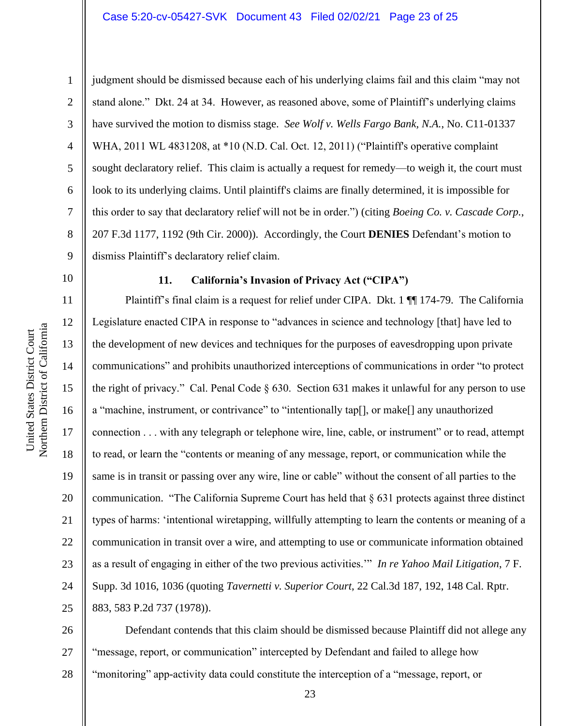## Case 5:20-cv-05427-SVK Document 43 Filed 02/02/21 Page 23 of 25

Northern District of California Northern District of California United States District Court United States District Court

1

10

11

12

13

14

15

16

17

18

19

20

21

22

23

24

25

2 3 4 5 6 7 8 9 judgment should be dismissed because each of his underlying claims fail and this claim "may not stand alone." Dkt. 24 at 34. However, as reasoned above, some of Plaintiff's underlying claims have survived the motion to dismiss stage. *See Wolf v. Wells Fargo Bank, N.A.*, No. C11-01337 WHA, 2011 WL 4831208, at \*10 (N.D. Cal. Oct. 12, 2011) ("Plaintiff's operative complaint sought declaratory relief. This claim is actually a request for remedy—to weigh it, the court must look to its underlying claims. Until plaintiff's claims are finally determined, it is impossible for this order to say that declaratory relief will not be in order.") (citing *Boeing Co. v. Cascade Corp.*, 207 F.3d 1177, 1192 (9th Cir. 2000)). Accordingly, the Court **DENIES** Defendant's motion to dismiss Plaintiff's declaratory relief claim.

# **11. California's Invasion of Privacy Act ("CIPA")**

Plaintiff's final claim is a request for relief under CIPA. Dkt. 1  $\P$  174-79. The California Legislature enacted CIPA in response to "advances in science and technology [that] have led to the development of new devices and techniques for the purposes of eavesdropping upon private communications" and prohibits unauthorized interceptions of communications in order "to protect the right of privacy." Cal. Penal Code § 630. Section 631 makes it unlawful for any person to use a "machine, instrument, or contrivance" to "intentionally tap[], or make[] any unauthorized connection . . . with any telegraph or telephone wire, line, cable, or instrument" or to read, attempt to read, or learn the "contents or meaning of any message, report, or communication while the same is in transit or passing over any wire, line or cable" without the consent of all parties to the communication. "The California Supreme Court has held that § 631 protects against three distinct types of harms: 'intentional wiretapping, willfully attempting to learn the contents or meaning of a communication in transit over a wire, and attempting to use or communicate information obtained as a result of engaging in either of the two previous activities.'" *In re Yahoo Mail Litigation*, 7 F. Supp. 3d 1016, 1036 (quoting *Tavernetti v. Superior Court*, 22 Cal.3d 187, 192, 148 Cal. Rptr. 883, 583 P.2d 737 (1978)).

26 27 28 Defendant contends that this claim should be dismissed because Plaintiff did not allege any "message, report, or communication" intercepted by Defendant and failed to allege how "monitoring" app-activity data could constitute the interception of a "message, report, or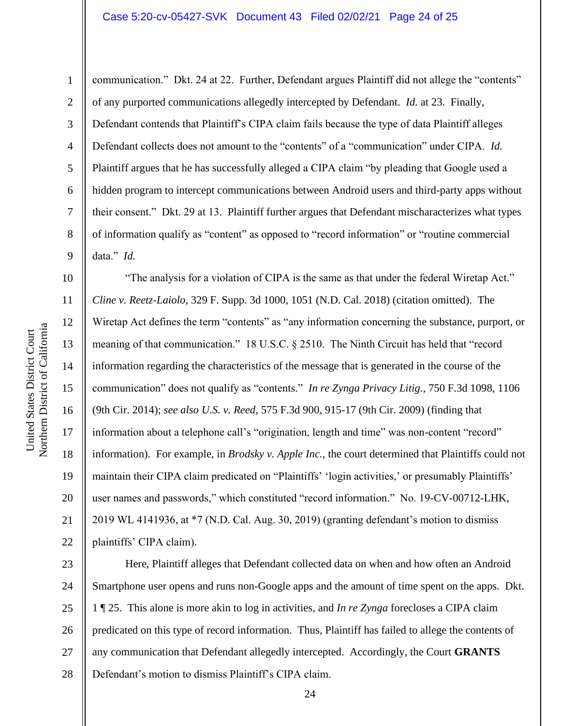#### Case 5:20-cv-05427-SVK Document 43 Filed 02/02/21 Page 24 of 25

Northern District of California Northern District of California United States District Court United States District Court

1 2 3 4 5 6 7 8 9 communication." Dkt. 24 at 22. Further, Defendant argues Plaintiff did not allege the "contents" of any purported communications allegedly intercepted by Defendant. *Id.* at 23. Finally, Defendant contends that Plaintiff's CIPA claim fails because the type of data Plaintiff alleges Defendant collects does not amount to the "contents" of a "communication" under CIPA. *Id.*  Plaintiff argues that he has successfully alleged a CIPA claim "by pleading that Google used a hidden program to intercept communications between Android users and third-party apps without their consent." Dkt. 29 at 13. Plaintiff further argues that Defendant mischaracterizes what types of information qualify as "content" as opposed to "record information" or "routine commercial data." *Id.* 

10 11 12 13 14 15 16 17 18 19 20 21 22 "The analysis for a violation of CIPA is the same as that under the federal Wiretap Act." *Cline v. Reetz-Laiolo*, 329 F. Supp. 3d 1000, 1051 (N.D. Cal. 2018) (citation omitted). The Wiretap Act defines the term "contents" as "any information concerning the substance, purport, or meaning of that communication." 18 U.S.C. § 2510. The Ninth Circuit has held that "record information regarding the characteristics of the message that is generated in the course of the communication" does not qualify as "contents." *In re Zynga Privacy Litig.*, 750 F.3d 1098, 1106 (9th Cir. 2014); *see also U.S. v. Reed*, 575 F.3d 900, 915-17 (9th Cir. 2009) (finding that information about a telephone call's "origination, length and time" was non-content "record" information). For example, in *Brodsky v. Apple Inc.*, the court determined that Plaintiffs could not maintain their CIPA claim predicated on "Plaintiffs' 'login activities,' or presumably Plaintiffs' user names and passwords," which constituted "record information." No. 19-CV-00712-LHK, 2019 WL 4141936, at \*7 (N.D. Cal. Aug. 30, 2019) (granting defendant's motion to dismiss plaintiffs' CIPA claim).

23 24 25 26 27 28 Here, Plaintiff alleges that Defendant collected data on when and how often an Android Smartphone user opens and runs non-Google apps and the amount of time spent on the apps. Dkt. 1 ¶ 25. This alone is more akin to log in activities, and *In re Zynga* forecloses a CIPA claim predicated on this type of record information. Thus, Plaintiff has failed to allege the contents of any communication that Defendant allegedly intercepted. Accordingly, the Court **GRANTS** Defendant's motion to dismiss Plaintiff's CIPA claim.